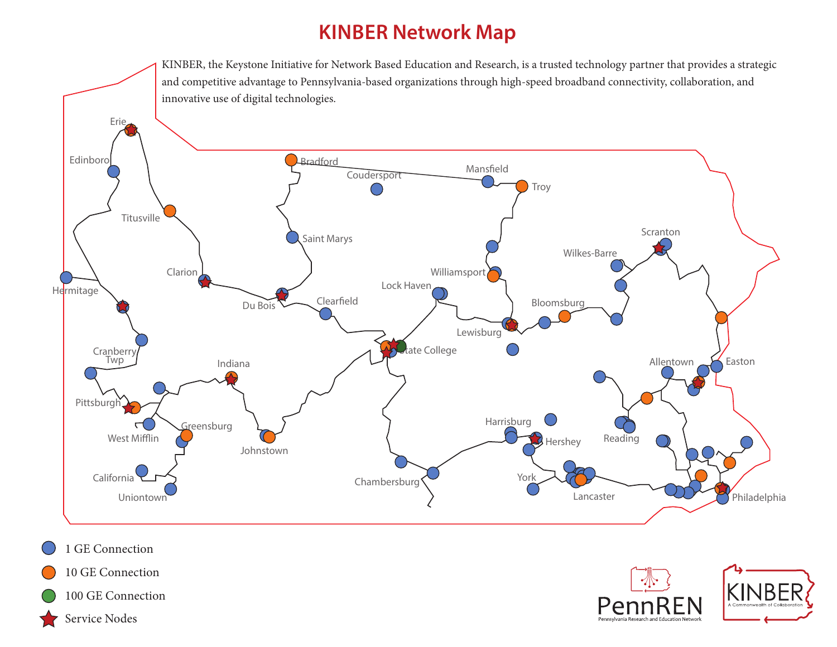## **KINBER Network Map**

KINBER, the Keystone Initiative for Network Based Education and Research, is a trusted technology partner that provides a strategic and competitive advantage to Pennsylvania-based organizations through high-speed broadband connectivity, collaboration, and innovative use of digital technologies.







- 10 GE Connection
- 100 GE Connection

1 GE Connection

Service Nodes